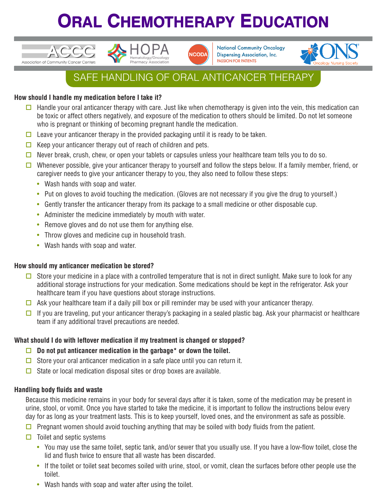# **ORAL CHEMOTHERAPY EDUCATION ORAL CHEMOTHERAPY EDUCATION**







**National Community Oncology Dispensing Association, Inc. PASSION FOR PATIENTS** 



## SAFE HANDLING OF ORAL ANTICANCER THERAPY SAFE HANDLING OF ORAL ANTICANCER THERAPY

#### **How should I handle my medication before I take it?**

- $\Box$  Handle your oral anticancer therapy with care. Just like when chemotherapy is given into the vein, this medication can be toxic or affect others negatively, and exposure of the medication to others should be limited. Do not let someone who is pregnant or thinking of becoming pregnant handle the medication.
- $\Box$  Leave your anticancer therapy in the provided packaging until it is ready to be taken.
- $\Box$  Keep your anticancer therapy out of reach of children and pets.
- $\Box$  Never break, crush, chew, or open your tablets or capsules unless your healthcare team tells you to do so.
- Whenever possible, give your anticancer therapy to yourself and follow the steps below. If a family member, friend, or caregiver needs to give your anticancer therapy to you, they also need to follow these steps:
	- Wash hands with soap and water.
	- Put on gloves to avoid touching the medication. (Gloves are not necessary if you give the drug to yourself.)
	- Gently transfer the anticancer therapy from its package to a small medicine or other disposable cup.
	- Administer the medicine immediately by mouth with water.
	- Remove gloves and do not use them for anything else.
	- Throw gloves and medicine cup in household trash.
	- Wash hands with soap and water.

#### **How should my anticancer medication be stored?**

- Store your medicine in a place with a controlled temperature that is not in direct sunlight. Make sure to look for any additional storage instructions for your medication. Some medications should be kept in the refrigerator. Ask your healthcare team if you have questions about storage instructions.
- $\Box$  Ask your healthcare team if a daily pill box or pill reminder may be used with your anticancer therapy.
- $\square$  If you are traveling, put your anticancer therapy's packaging in a sealed plastic bag. Ask your pharmacist or healthcare team if any additional travel precautions are needed.

#### **What should I do with leftover medication if my treatment is changed or stopped?**

- $\Box$  Do not put anticancer medication in the garbage<sup>\*</sup> or down the toilet.
- $\Box$  Store your oral anticancer medication in a safe place until you can return it.
- $\Box$  State or local medication disposal sites or drop boxes are available.

#### **Handling body fluids and waste**

Because this medicine remains in your body for several days after it is taken, some of the medication may be present in urine, stool, or vomit. Once you have started to take the medicine, it is important to follow the instructions below every day for as long as your treatment lasts. This is to keep yourself, loved ones, and the environment as safe as possible.

- $\Box$  Pregnant women should avoid touching anything that may be soiled with body fluids from the patient.
- $\Box$  Toilet and septic systems
	- You may use the same toilet, septic tank, and/or sewer that you usually use. If you have a low-flow toilet, close the lid and flush twice to ensure that all waste has been discarded.
	- If the toilet or toilet seat becomes soiled with urine, stool, or vomit, clean the surfaces before other people use the toilet.
	- Wash hands with soap and water after using the toilet.